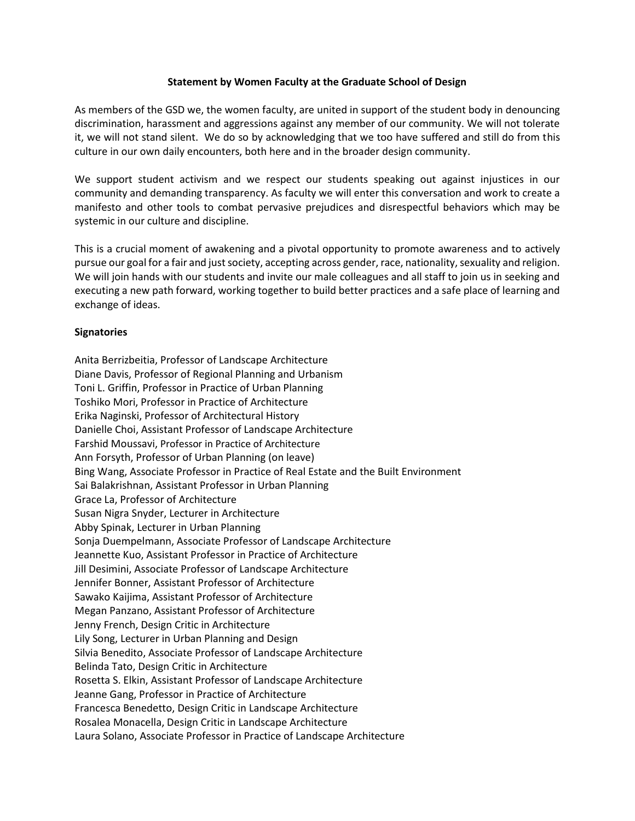## **Statement by Women Faculty at the Graduate School of Design**

As members of the GSD we, the women faculty, are united in support of the student body in denouncing discrimination, harassment and aggressions against any member of our community. We will not tolerate it, we will not stand silent. We do so by acknowledging that we too have suffered and still do from this culture in our own daily encounters, both here and in the broader design community.

We support student activism and we respect our students speaking out against injustices in our community and demanding transparency. As faculty we will enter this conversation and work to create a manifesto and other tools to combat pervasive prejudices and disrespectful behaviors which may be systemic in our culture and discipline.

This is a crucial moment of awakening and a pivotal opportunity to promote awareness and to actively pursue our goal for a fair and just society, accepting across gender, race, nationality, sexuality and religion. We will join hands with our students and invite our male colleagues and all staff to join us in seeking and executing a new path forward, working together to build better practices and a safe place of learning and exchange of ideas.

## **Signatories**

Anita Berrizbeitia, Professor of Landscape Architecture Diane Davis, Professor of Regional Planning and Urbanism Toni L. Griffin, Professor in Practice of Urban Planning Toshiko Mori, Professor in Practice of Architecture Erika Naginski, Professor of Architectural History Danielle Choi, Assistant Professor of Landscape Architecture Farshid Moussavi, Professor in Practice of Architecture Ann Forsyth, Professor of Urban Planning (on leave) Bing Wang, Associate Professor in Practice of Real Estate and the Built Environment Sai Balakrishnan, Assistant Professor in Urban Planning Grace La, Professor of Architecture Susan Nigra Snyder, Lecturer in Architecture Abby Spinak, Lecturer in Urban Planning Sonja Duempelmann, Associate Professor of Landscape Architecture Jeannette Kuo, Assistant Professor in Practice of Architecture Jill Desimini, Associate Professor of Landscape Architecture Jennifer Bonner, Assistant Professor of Architecture Sawako Kaijima, Assistant Professor of Architecture Megan Panzano, Assistant Professor of Architecture Jenny French, Design Critic in Architecture Lily Song, Lecturer in Urban Planning and Design Silvia Benedito, Associate Professor of Landscape Architecture Belinda Tato, Design Critic in Architecture Rosetta S. Elkin, Assistant Professor of Landscape Architecture Jeanne Gang, Professor in Practice of Architecture Francesca Benedetto, Design Critic in Landscape Architecture Rosalea Monacella, Design Critic in Landscape Architecture Laura Solano, Associate Professor in Practice of Landscape Architecture